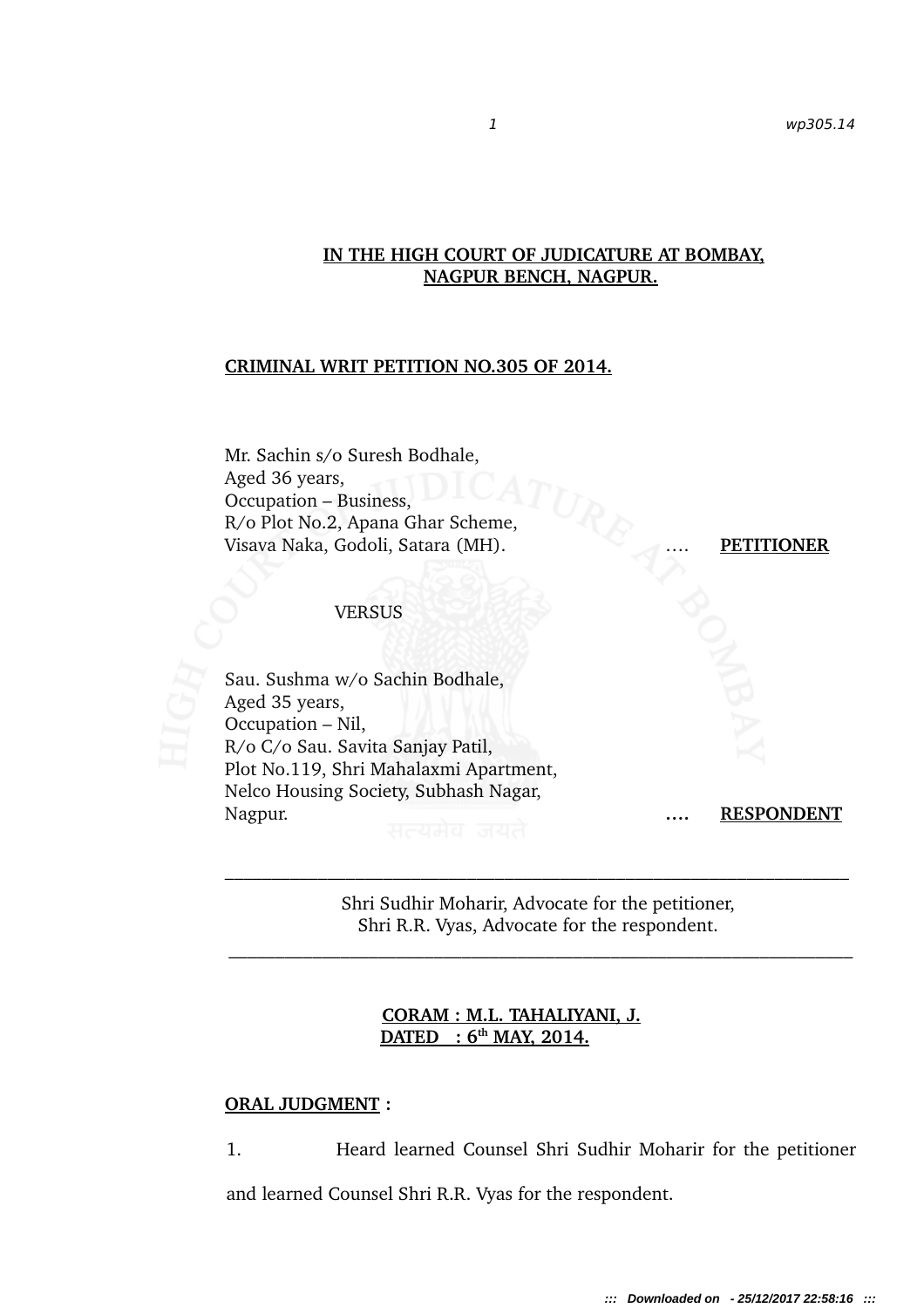# **IN THE HIGH COURT OF JUDICATURE AT BOMBAY, NAGPUR BENCH, NAGPUR.**

### **CRIMINAL WRIT PETITION NO.305 OF 2014.**

Mr. Sachin s/o Suresh Bodhale, Aged 36 years, Occupation – Business, R/o Plot No.2, Apana Ghar Scheme, Visava Naka, Godoli, Satara (MH). …. **PETITIONER**

#### VERSUS



Sau. Sushma w/o Sachin Bodhale, Aged 35 years, Occupation – Nil, R/o C/o Sau. Savita Sanjay Patil, Plot No.119, Shri Mahalaxmi Apartment, Nelco Housing Society, Subhash Nagar, Nagpur. **…. RESPONDENT**

Shri Sudhir Moharir, Advocate for the petitioner, Shri R.R. Vyas, Advocate for the respondent.

# **CORAM : M.L. TAHALIYANI, J. DATED : 6th MAY, 2014.**

### **ORAL JUDGMENT :**

1. Heard learned Counsel Shri Sudhir Moharir for the petitioner

and learned Counsel Shri R.R. Vyas for the respondent.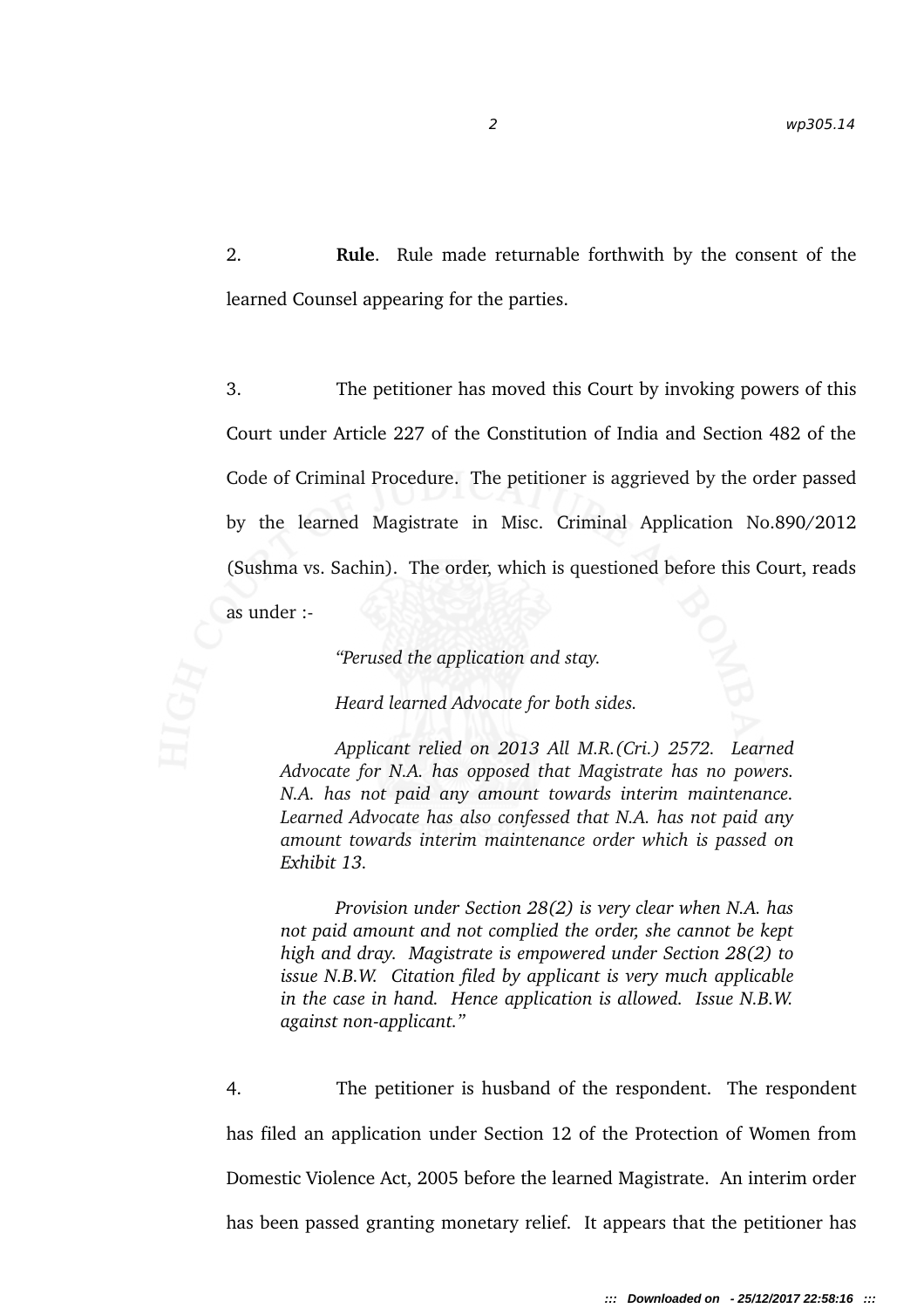2. **Rule**. Rule made returnable forthwith by the consent of the learned Counsel appearing for the parties.

3. The petitioner has moved this Court by invoking powers of this Court under Article 227 of the Constitution of India and Section 482 of the Code of Criminal Procedure. The petitioner is aggrieved by the order passed by the learned Magistrate in Misc. Criminal Application No.890/2012 (Sushma vs. Sachin). The order, which is questioned before this Court, reads as under :

*"Perused the application and stay.*

*Heard learned Advocate for both sides.*

*Applicant relied on 2013 All M.R.(Cri.) 2572. Learned Advocate for N.A. has opposed that Magistrate has no powers. N.A. has not paid any amount towards interim maintenance. Learned Advocate has also confessed that N.A. has not paid any amount towards interim maintenance order which is passed on Exhibit 13.*

*Provision under Section 28(2) is very clear when N.A. has not paid amount and not complied the order, she cannot be kept high and dray. Magistrate is empowered under Section 28(2) to issue N.B.W. Citation filed by applicant is very much applicable in the case in hand. Hence application is allowed. Issue N.B.W. against non-applicant."* 

4. The petitioner is husband of the respondent. The respondent has filed an application under Section 12 of the Protection of Women from Domestic Violence Act, 2005 before the learned Magistrate. An interim order has been passed granting monetary relief. It appears that the petitioner has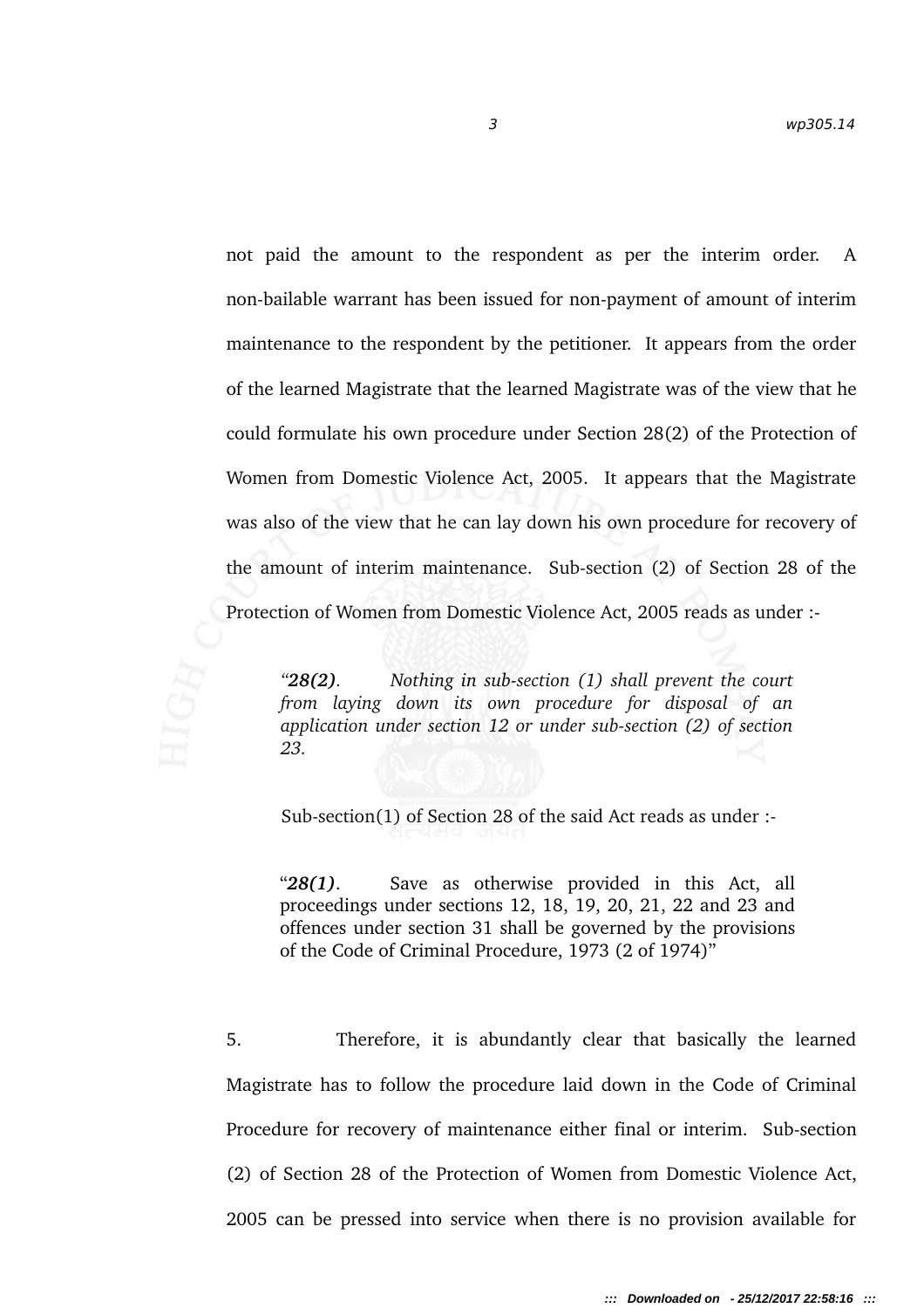not paid the amount to the respondent as per the interim order. A non-bailable warrant has been issued for non-payment of amount of interim maintenance to the respondent by the petitioner. It appears from the order of the learned Magistrate that the learned Magistrate was of the view that he could formulate his own procedure under Section 28(2) of the Protection of Women from Domestic Violence Act, 2005. It appears that the Magistrate was also of the view that he can lay down his own procedure for recovery of the amount of interim maintenance. Subsection (2) of Section 28 of the Protection of Women from Domestic Violence Act, 2005 reads as under :

*"28(2). Nothing in subsection (1) shall prevent the court from laying down its own procedure for disposal of an application under section 12 or under subsection (2) of section 23.*

Sub-section(1) of Section 28 of the said Act reads as under :-

"28(1). Save as otherwise provided in this Act, all proceedings under sections 12, 18, 19, 20, 21, 22 and 23 and offences under section 31 shall be governed by the provisions of the Code of Criminal Procedure, 1973 (2 of 1974)"

5. Therefore, it is abundantly clear that basically the learned Magistrate has to follow the procedure laid down in the Code of Criminal Procedure for recovery of maintenance either final or interim. Sub-section (2) of Section 28 of the Protection of Women from Domestic Violence Act, 2005 can be pressed into service when there is no provision available for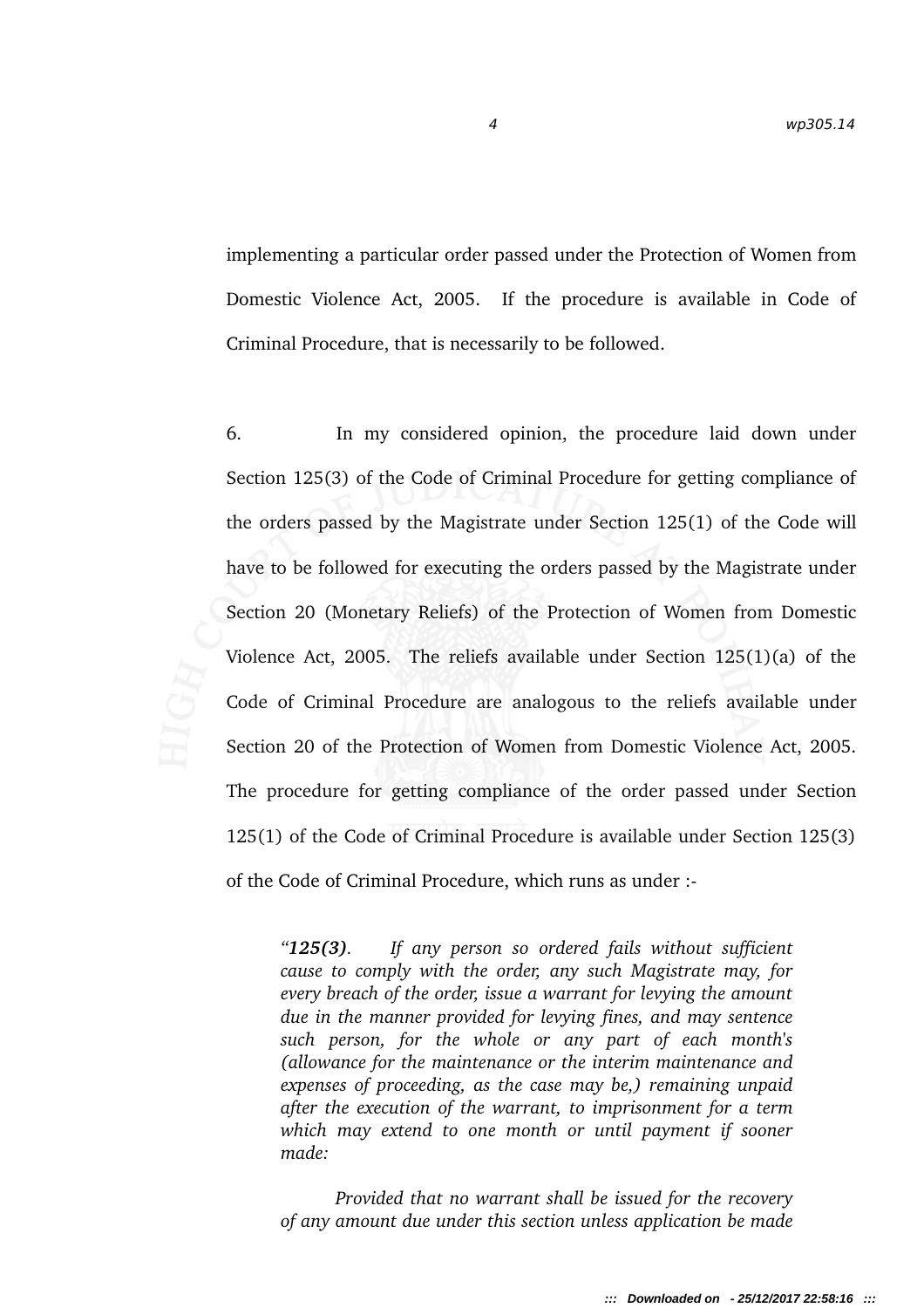implementing a particular order passed under the Protection of Women from Domestic Violence Act, 2005. If the procedure is available in Code of Criminal Procedure, that is necessarily to be followed.

6. In my considered opinion, the procedure laid down under Section 125(3) of the Code of Criminal Procedure for getting compliance of the orders passed by the Magistrate under Section 125(1) of the Code will have to be followed for executing the orders passed by the Magistrate under Section 20 (Monetary Reliefs) of the Protection of Women from Domestic Violence Act, 2005. The reliefs available under Section 125(1)(a) of the Code of Criminal Procedure are analogous to the reliefs available under Section 20 of the Protection of Women from Domestic Violence Act, 2005. The procedure for getting compliance of the order passed under Section 125(1) of the Code of Criminal Procedure is available under Section 125(3) of the Code of Criminal Procedure, which runs as under :

*"125(3). If any person so ordered fails without sufficient cause to comply with the order, any such Magistrate may, for every breach of the order, issue a warrant for levying the amount due in the manner provided for levying fines, and may sentence such person, for the whole or any part of each month's (allowance for the maintenance or the interim maintenance and expenses of proceeding, as the case may be,) remaining unpaid after the execution of the warrant, to imprisonment for a term which may extend to one month or until payment if sooner made:*

*Provided that no warrant shall be issued for the recovery of any amount due under this section unless application be made*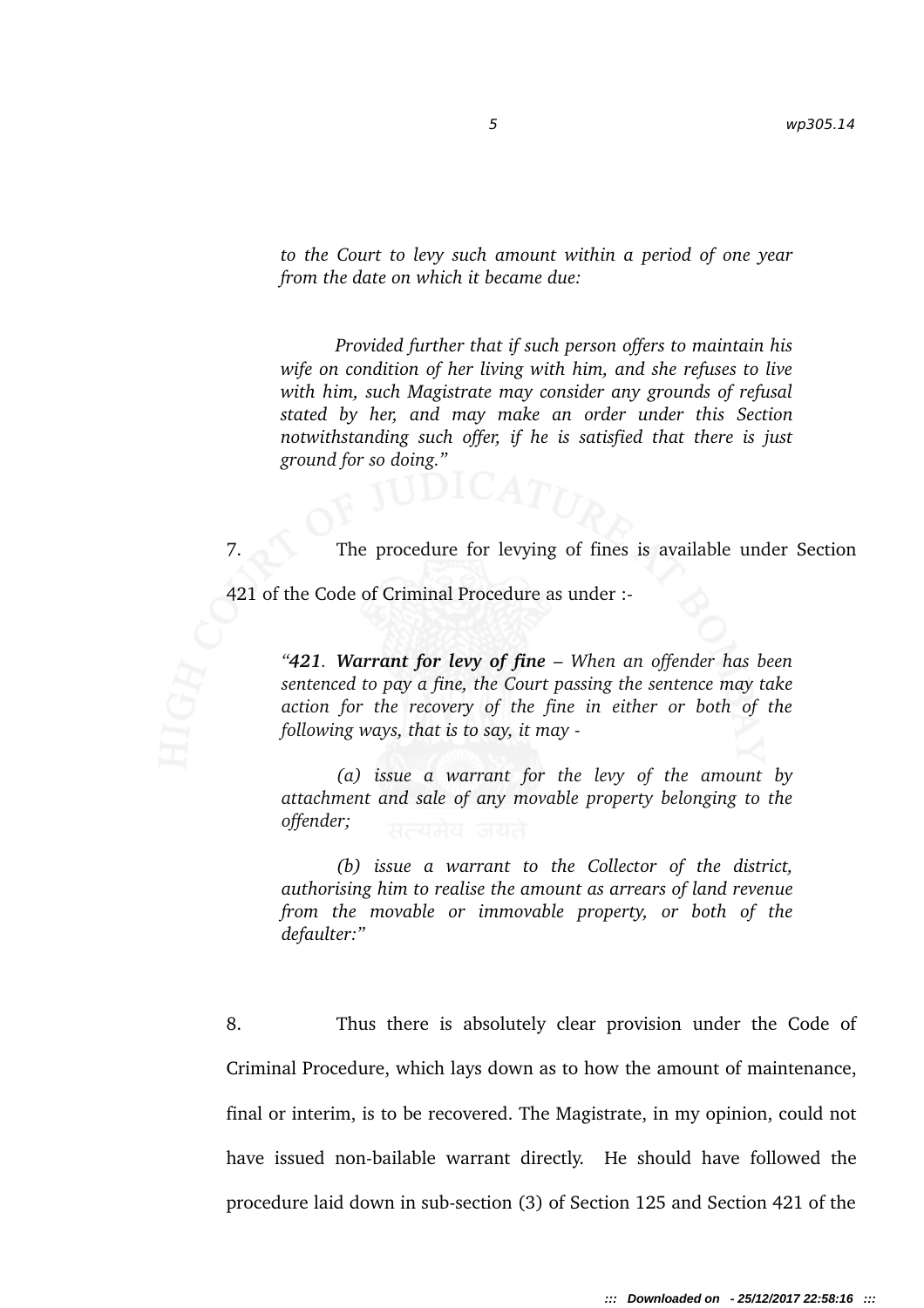*to the Court to levy such amount within a period of one year from the date on which it became due:*

*Provided further that if such person offers to maintain his wife on condition of her living with him, and she refuses to live with him, such Magistrate may consider any grounds of refusal stated by her, and may make an order under this Section notwithstanding such offer, if he is satisfied that there is just ground for so doing."*

7. The procedure for levying of fines is available under Section

421 of the Code of Criminal Procedure as under :-

*"421. Warrant for levy of fine – When an offender has been sentenced to pay a fine, the Court passing the sentence may take action for the recovery of the fine in either or both of the following ways, that is to say, it may* 

*(a) issue a warrant for the levy of the amount by attachment and sale of any movable property belonging to the offender;*

*(b) issue a warrant to the Collector of the district, authorising him to realise the amount as arrears of land revenue from the movable or immovable property, or both of the defaulter:"*

8. Thus there is absolutely clear provision under the Code of Criminal Procedure, which lays down as to how the amount of maintenance, final or interim, is to be recovered. The Magistrate, in my opinion, could not have issued non-bailable warrant directly. He should have followed the procedure laid down in sub-section (3) of Section 125 and Section 421 of the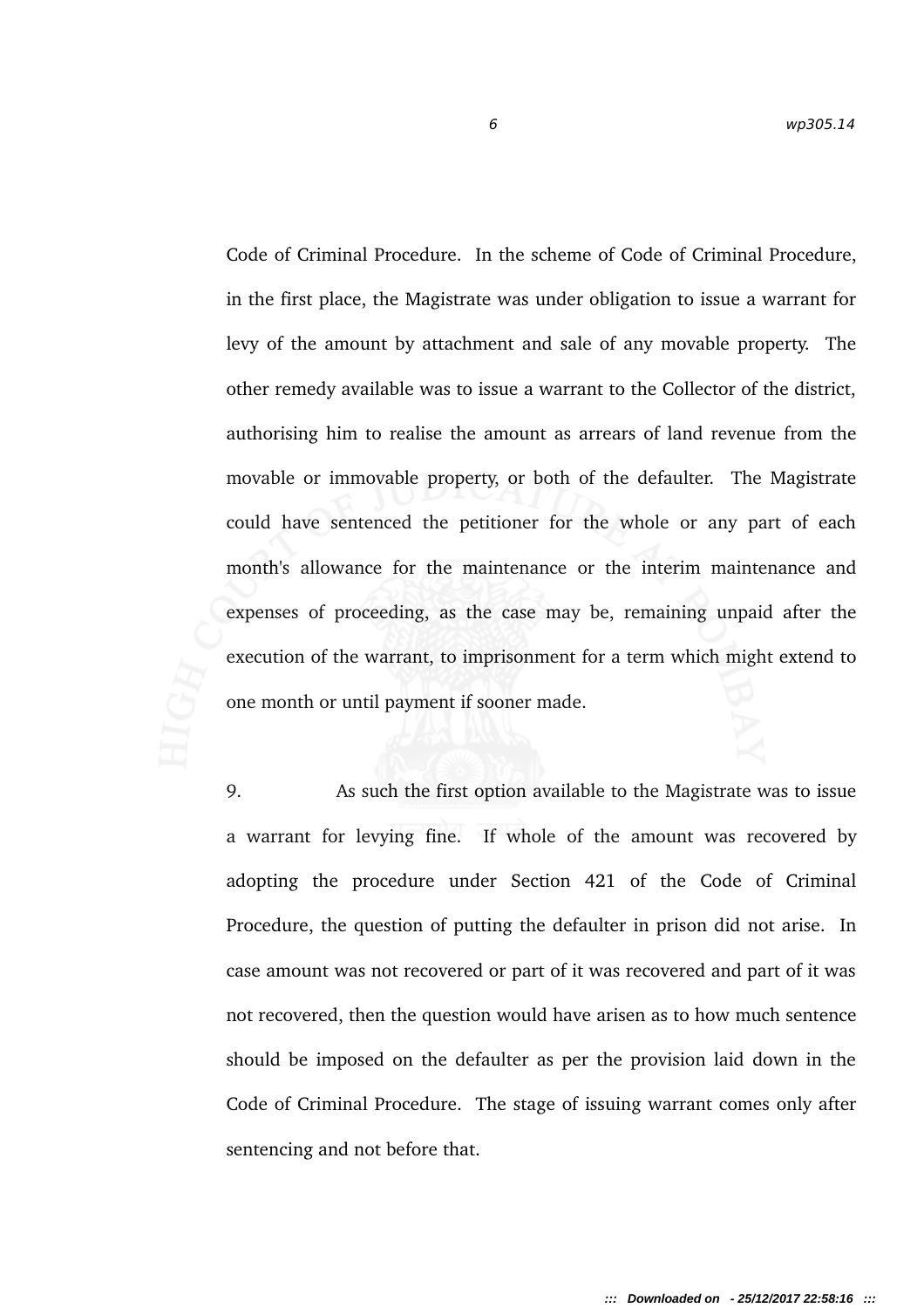Code of Criminal Procedure. In the scheme of Code of Criminal Procedure, in the first place, the Magistrate was under obligation to issue a warrant for levy of the amount by attachment and sale of any movable property. The other remedy available was to issue a warrant to the Collector of the district, authorising him to realise the amount as arrears of land revenue from the movable or immovable property, or both of the defaulter. The Magistrate could have sentenced the petitioner for the whole or any part of each month's allowance for the maintenance or the interim maintenance and expenses of proceeding, as the case may be, remaining unpaid after the execution of the warrant, to imprisonment for a term which might extend to one month or until payment if sooner made.

9. As such the first option available to the Magistrate was to issue a warrant for levying fine. If whole of the amount was recovered by adopting the procedure under Section 421 of the Code of Criminal Procedure, the question of putting the defaulter in prison did not arise. In case amount was not recovered or part of it was recovered and part of it was not recovered, then the question would have arisen as to how much sentence should be imposed on the defaulter as per the provision laid down in the Code of Criminal Procedure. The stage of issuing warrant comes only after sentencing and not before that.